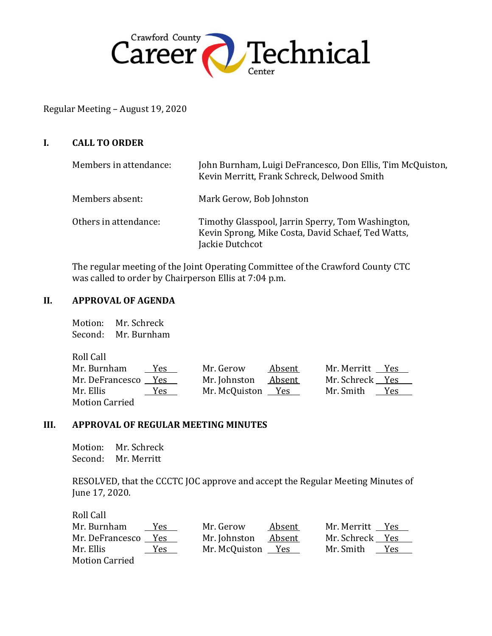

Regular Meeting – August 19, 2020

#### **I. CALL TO ORDER**

| Members in attendance: | John Burnham, Luigi DeFrancesco, Don Ellis, Tim McQuiston,<br>Kevin Merritt, Frank Schreck, Delwood Smith                  |
|------------------------|----------------------------------------------------------------------------------------------------------------------------|
| Members absent:        | Mark Gerow, Bob Johnston                                                                                                   |
| Others in attendance:  | Timothy Glasspool, Jarrin Sperry, Tom Washington,<br>Kevin Sprong, Mike Costa, David Schaef, Ted Watts,<br>Jackie Dutchcot |

The regular meeting of the Joint Operating Committee of the Crawford County CTC was called to order by Chairperson Ellis at 7:04 p.m.

#### **II. APPROVAL OF AGENDA**

Motion: Mr. Schreck Second: Mr. Burnham

| Roll Call             |      |                   |        |                 |     |
|-----------------------|------|-------------------|--------|-----------------|-----|
| Mr. Burnham           | Yes. | Mr. Gerow         | Absent | Mr. Merritt Yes |     |
| Mr. DeFrancesco       | Yes  | Mr. Johnston      | Absent | Mr. Schreck Yes |     |
| Mr. Ellis             | Yes  | Mr. McQuiston Yes |        | Mr. Smith       | Yes |
| <b>Motion Carried</b> |      |                   |        |                 |     |

#### **III. APPROVAL OF REGULAR MEETING MINUTES**

Motion: Mr. Schreck Second: Mr. Merritt

RESOLVED, that the CCCTC JOC approve and accept the Regular Meeting Minutes of June 17, 2020.

| Roll Call             |     |                   |        |                 |     |
|-----------------------|-----|-------------------|--------|-----------------|-----|
| Mr. Burnham           | Yes | Mr. Gerow         | Absent | Mr. Merritt Yes |     |
| Mr. DeFrancesco       | Yes | Mr. Johnston      | Absent | Mr. Schreck Yes |     |
| Mr. Ellis             | Yes | Mr. McQuiston Yes |        | Mr. Smith       | Yes |
| <b>Motion Carried</b> |     |                   |        |                 |     |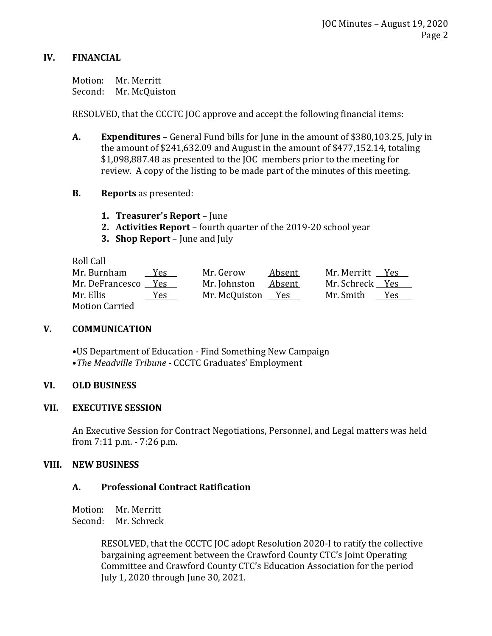## **IV. FINANCIAL**

Motion: Mr. Merritt Second: Mr. McQuiston

RESOLVED, that the CCCTC JOC approve and accept the following financial items:

- **A. Expenditures** General Fund bills for June in the amount of \$380,103.25, July in the amount of \$241,632.09 and August in the amount of \$477,152.14, totaling \$1,098,887.48 as presented to the JOC members prior to the meeting for review. A copy of the listing to be made part of the minutes of this meeting.
- **B. Reports** as presented:
	- **1. Treasurer's Report**  June
	- **2. Activities Report**  fourth quarter of the 2019-20 school year
	- **3. Shop Report**  June and July

Roll Call

| Mr. Burnham     | Yes  | Mr. Gerow         | Absent | Mr. Merritt Yes |     |
|-----------------|------|-------------------|--------|-----------------|-----|
| Mr. DeFrancesco | Yes. | Mr. Johnston      | Absent | Mr. Schreck Yes |     |
| Mr. Ellis       | Yes  | Mr. McQuiston Yes |        | Mr. Smith       | Yes |
| Motion Carried  |      |                   |        |                 |     |

## **V. COMMUNICATION**

**•**US Department of Education - Find Something New Campaign •*The Meadville Tribune* - CCCTC Graduates' Employment

## **VI. OLD BUSINESS**

## **VII. EXECUTIVE SESSION**

An Executive Session for Contract Negotiations, Personnel, and Legal matters was held from 7:11 p.m. - 7:26 p.m.

## **VIII. NEW BUSINESS**

# **A. Professional Contract Ratification**

Motion: Mr. Merritt Second: Mr. Schreck

> RESOLVED, that the CCCTC JOC adopt Resolution 2020-I to ratify the collective bargaining agreement between the Crawford County CTC's Joint Operating Committee and Crawford County CTC's Education Association for the period July 1, 2020 through June 30, 2021.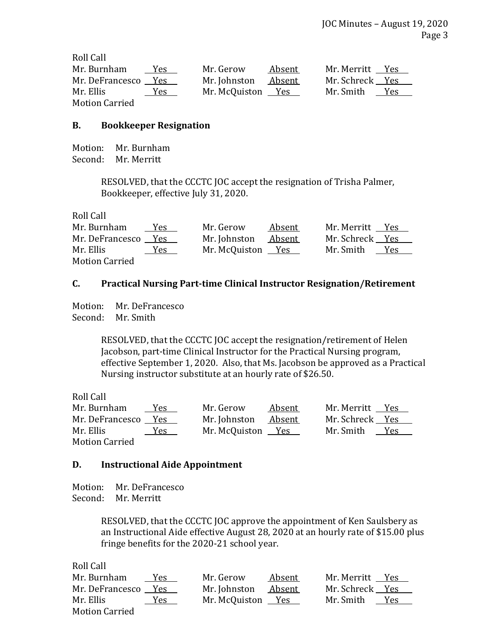| Roll Call             |     |                   |        |                 |            |
|-----------------------|-----|-------------------|--------|-----------------|------------|
| Mr. Burnham           | Yes | Mr. Gerow         | Absent | Mr. Merritt Yes |            |
| Mr. DeFrancesco       | Yes | Mr. Johnston      | Absent | Mr. Schreck Yes |            |
| Mr. Ellis             | Yes | Mr. McQuiston Yes |        | Mr. Smith       | <b>Yes</b> |
| <b>Motion Carried</b> |     |                   |        |                 |            |

#### **B. Bookkeeper Resignation**

Motion: Mr. Burnham Second: Mr. Merritt

> RESOLVED, that the CCCTC JOC accept the resignation of Trisha Palmer, Bookkeeper, effective July 31, 2020.

| Roll Call             |      |                   |        |                 |     |
|-----------------------|------|-------------------|--------|-----------------|-----|
| Mr. Burnham           | Yes. | Mr. Gerow         | Absent | Mr. Merritt Yes |     |
| Mr. DeFrancesco Yes   |      | Mr. Johnston      | Absent | Mr. Schreck Yes |     |
| Mr. Ellis             | Yes  | Mr. McQuiston Yes |        | Mr. Smith       | Yes |
| <b>Motion Carried</b> |      |                   |        |                 |     |

## **C. Practical Nursing Part-time Clinical Instructor Resignation/Retirement**

Motion: Mr. DeFrancesco Second: Mr. Smith

> RESOLVED, that the CCCTC JOC accept the resignation/retirement of Helen Jacobson, part-time Clinical Instructor for the Practical Nursing program, effective September 1, 2020. Also, that Ms. Jacobson be approved as a Practical Nursing instructor substitute at an hourly rate of \$26.50.

Roll Call

| Mr. Burnham           | <u>Yes</u> | Mr. Gerow         | Absent | Mr. Merritt     | Yes |
|-----------------------|------------|-------------------|--------|-----------------|-----|
| Mr. DeFrancesco       | Yes        | Mr. Johnston      | Absent | Mr. Schreck Yes |     |
| Mr. Ellis             | Yes        | Mr. McQuiston Yes |        | Mr. Smith       | Yes |
| <b>Motion Carried</b> |            |                   |        |                 |     |

#### **D. Instructional Aide Appointment**

Motion: Mr. DeFrancesco Second: Mr. Merritt

> RESOLVED, that the CCCTC JOC approve the appointment of Ken Saulsbery as an Instructional Aide effective August 28, 2020 at an hourly rate of \$15.00 plus fringe benefits for the 2020-21 school year.

| Mr. Burnham           | Yes | Mr. Gerow         | Absent | Mr. Merritt     | Yes |
|-----------------------|-----|-------------------|--------|-----------------|-----|
| Mr. DeFrancesco       | Yes | Mr. Johnston      | Absent | Mr. Schreck Yes |     |
| Mr. Ellis             | Yes | Mr. McQuiston Yes |        | Mr. Smith       | Yes |
| <b>Motion Carried</b> |     |                   |        |                 |     |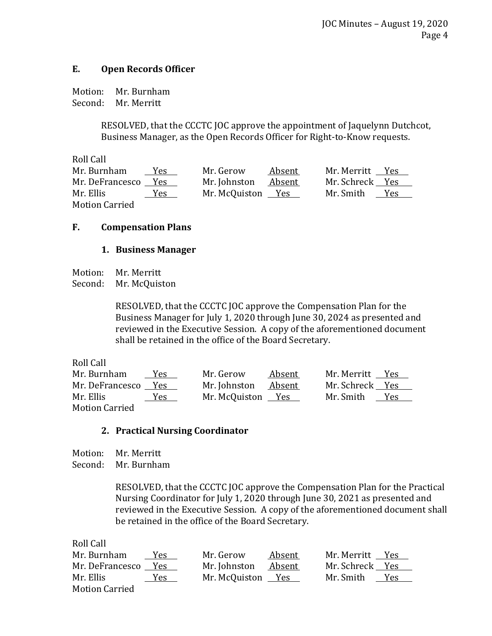## **E. Open Records Officer**

Motion: Mr. Burnham Second: Mr. Merritt

> RESOLVED, that the CCCTC JOC approve the appointment of Jaquelynn Dutchcot, Business Manager, as the Open Records Officer for Right-to-Know requests.

Roll Call Mr. Burnham Yes Mr. Gerow Absent Mr. Merritt Yes Mr. DeFrancesco Yes Mr. Johnston Absent Mr. Schreck Yes Mr. Ellis Yes Mr. McQuiston Yes Mr. Smith Yes Motion Carried

## **F. Compensation Plans**

#### **1. Business Manager**

Motion: Mr. Merritt

Second: Mr. McQuiston

RESOLVED, that the CCCTC JOC approve the Compensation Plan for the Business Manager for July 1, 2020 through June 30, 2024 as presented and reviewed in the Executive Session. A copy of the aforementioned document shall be retained in the office of the Board Secretary.

Roll Call Mr. Burnham Yes Mr. Gerow Absent Mr. Merritt Yes Mr. DeFrancesco Yes Mr. Johnston Absent Mr. Schreck Yes Mr. Ellis Yes Mr. McQuiston Yes Mr. Smith Yes Motion Carried

## **2. Practical Nursing Coordinator**

Motion: Mr. Merritt Second: Mr. Burnham

> RESOLVED, that the CCCTC JOC approve the Compensation Plan for the Practical Nursing Coordinator for July 1, 2020 through June 30, 2021 as presented and reviewed in the Executive Session. A copy of the aforementioned document shall be retained in the office of the Board Secretary.

| Mr. Burnham           | <b>Yes</b> | Mr. Gerow         | Absent | Mr. Merritt Yes |            |
|-----------------------|------------|-------------------|--------|-----------------|------------|
| Mr. DeFrancesco       | Yes        | Mr. Johnston      | Absent | Mr. Schreck Yes |            |
| Mr. Ellis             | Yes        | Mr. McQuiston Yes |        | Mr. Smith       | <b>Yes</b> |
| <b>Motion Carried</b> |            |                   |        |                 |            |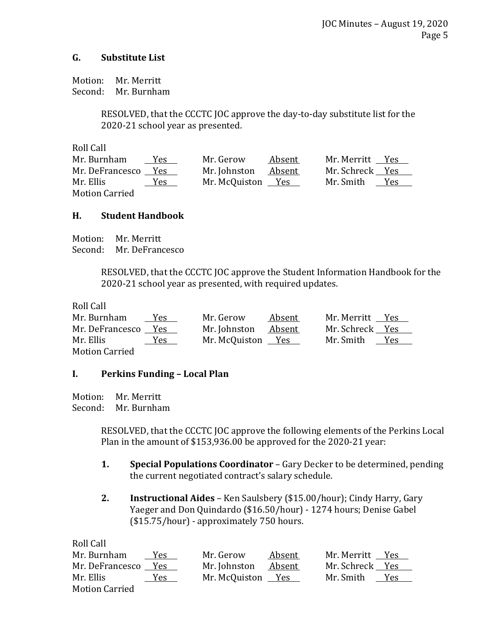## **G. Substitute List**

Motion: Mr. Merritt Second: Mr. Burnham

> RESOLVED, that the CCCTC JOC approve the day-to-day substitute list for the 2020-21 school year as presented.

Roll Call

| Mr. Burnham           | Yes        | Mr. Gerow         | Absent | Mr. Merritt     | Yes |
|-----------------------|------------|-------------------|--------|-----------------|-----|
| Mr. DeFrancesco       | Yes        | Mr. Johnston      | Absent | Mr. Schreck Yes |     |
| Mr. Ellis             | <u>Yes</u> | Mr. McQuiston Yes |        | Mr. Smith       | Yes |
| <b>Motion Carried</b> |            |                   |        |                 |     |

## **H. Student Handbook**

Motion: Mr. Merritt Second: Mr. DeFrancesco

> RESOLVED, that the CCCTC JOC approve the Student Information Handbook for the 2020-21 school year as presented, with required updates.

Roll Call

| Mr. Burnham           | <u>Yes</u> | Mr. Gerow         | Absent | Mr. Merritt Yes |     |
|-----------------------|------------|-------------------|--------|-----------------|-----|
| Mr. DeFrancesco Yes   |            | Mr. Johnston      | Absent | Mr. Schreck Yes |     |
| Mr. Ellis             | Yes        | Mr. McQuiston Yes |        | Mr. Smith       | Yes |
| <b>Motion Carried</b> |            |                   |        |                 |     |

## **I. Perkins Funding – Local Plan**

Motion: Mr. Merritt Second: Mr. Burnham

> RESOLVED, that the CCCTC JOC approve the following elements of the Perkins Local Plan in the amount of \$153,936.00 be approved for the 2020-21 year:

- **1. Special Populations Coordinator** Gary Decker to be determined, pending the current negotiated contract's salary schedule.
- **2. Instructional Aides** Ken Saulsbery (\$15.00/hour); Cindy Harry, Gary Yaeger and Don Quindardo (\$16.50/hour) - 1274 hours; Denise Gabel (\$15.75/hour) - approximately 750 hours.

| Mr. Burnham           | Yes.       | Mr. Gerow         | Absent        | Mr. Merritt Yes |             |
|-----------------------|------------|-------------------|---------------|-----------------|-------------|
| Mr. DeFrancesco Yes   |            | Mr. Johnston      | <u>Absent</u> | Mr. Schreck Yes |             |
| Mr. Ellis             | <u>Yes</u> | Mr. McQuiston Yes |               | Mr. Smith       | Y <u>es</u> |
| <b>Motion Carried</b> |            |                   |               |                 |             |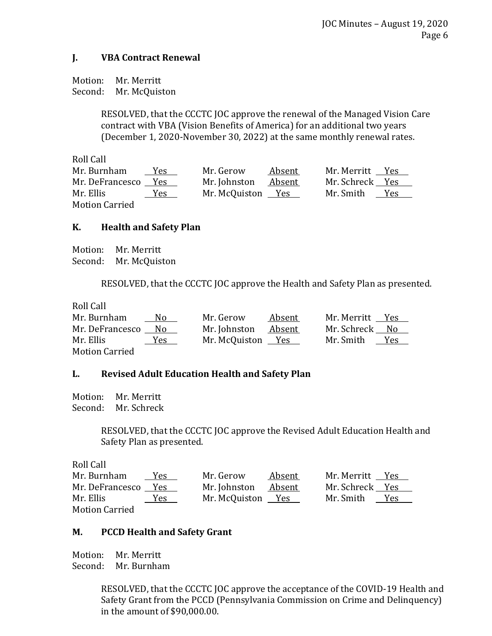## **J. VBA Contract Renewal**

Motion: Mr. Merritt Second: Mr. McQuiston

> RESOLVED, that the CCCTC JOC approve the renewal of the Managed Vision Care contract with VBA (Vision Benefits of America) for an additional two years (December 1, 2020-November 30, 2022) at the same monthly renewal rates.

Roll Call Mr. Burnham Yes Mr. Gerow Absent Mr. Merritt Yes Mr. DeFrancesco Yes Mr. Johnston Absent Mr. Schreck Yes Mr. Ellis Yes Mr. McQuiston Yes Mr. Smith Yes Motion Carried

## **K. Health and Safety Plan**

Motion: Mr. Merritt Second: Mr. McQuiston

RESOLVED, that the CCCTC JOC approve the Health and Safety Plan as presented.

Roll Call Mr. Burnham No Mr. Gerow Absent Mr. Merritt Yes Mr. DeFrancesco No Mr. Johnston Absent Mr. Schreck No Mr. Ellis Yes Mr. McQuiston Yes Mr. Smith Yes Motion Carried

## **L. Revised Adult Education Health and Safety Plan**

Motion: Mr. Merritt Second: Mr. Schreck

> RESOLVED, that the CCCTC JOC approve the Revised Adult Education Health and Safety Plan as presented.

Roll Call

| Mr. Burnham           | <u>Yes</u> | Mr. Gerow         | Absent | Mr. Merritt Yes |            |
|-----------------------|------------|-------------------|--------|-----------------|------------|
| Mr. DeFrancesco       | Yes        | Mr. Johnston      | Absent | Mr. Schreck Yes |            |
| Mr. Ellis             | <u>Yes</u> | Mr. McQuiston Yes |        | Mr. Smith       | <b>Yes</b> |
| <b>Motion Carried</b> |            |                   |        |                 |            |

## **M. PCCD Health and Safety Grant**

Motion: Mr. Merritt Second: Mr. Burnham

> RESOLVED, that the CCCTC JOC approve the acceptance of the COVID-19 Health and Safety Grant from the PCCD (Pennsylvania Commission on Crime and Delinquency) in the amount of \$90,000.00.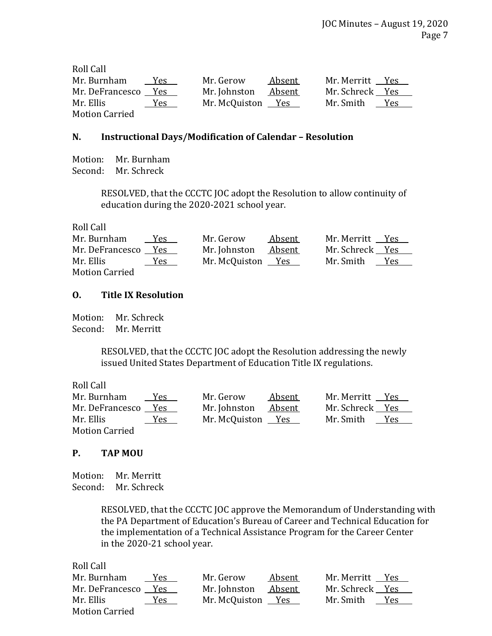| Roll Call             |      |                   |        |                         |  |
|-----------------------|------|-------------------|--------|-------------------------|--|
| Mr. Burnham           | Yes. | Mr. Gerow         | Absent | Mr. Merritt Yes         |  |
| Mr. DeFrancesco       | Yes  | Mr. Johnston      | Absent | Mr. Schreck Yes         |  |
| Mr. Ellis             | Yes  | Mr. McQuiston Yes |        | Mr. Smith           Yes |  |
| <b>Motion Carried</b> |      |                   |        |                         |  |

## **N. Instructional Days/Modification of Calendar – Resolution**

Motion: Mr. Burnham Second: Mr. Schreck

> RESOLVED, that the CCCTC JOC adopt the Resolution to allow continuity of education during the 2020-2021 school year.

Roll Call

| Mr. Burnham           | Yes | Mr. Gerow         | Absent | Mr. Merritt Yes        |  |
|-----------------------|-----|-------------------|--------|------------------------|--|
| Mr. DeFrancesco       | Yes | Mr. Johnston      | Absent | Mr. Schreck Yes        |  |
| Mr. Ellis             | Yes | Mr. McQuiston Yes |        | Mr. Smith          Yes |  |
| <b>Motion Carried</b> |     |                   |        |                        |  |

#### **O. Title IX Resolution**

Motion: Mr. Schreck Second: Mr. Merritt

> RESOLVED, that the CCCTC JOC adopt the Resolution addressing the newly issued United States Department of Education Title IX regulations.

Roll Call

| Mr. Burnham           | Yes        | Mr. Gerow         | Absent | Mr. Merritt Yes |     |
|-----------------------|------------|-------------------|--------|-----------------|-----|
| Mr. DeFrancesco       | Yes        | Mr. Johnston      | Absent | Mr. Schreck Yes |     |
| Mr. Ellis             | <u>Yes</u> | Mr. McQuiston Yes |        | Mr. Smith       | Yes |
| <b>Motion Carried</b> |            |                   |        |                 |     |

## **P. TAP MOU**

Motion: Mr. Merritt Second: Mr. Schreck

> RESOLVED, that the CCCTC JOC approve the Memorandum of Understanding with the PA Department of Education's Bureau of Career and Technical Education for the implementation of a Technical Assistance Program for the Career Center in the 2020-21 school year.

| Mr. Burnham           | Yes  | Mr. Gerow         | Absent        | Mr. Merritt Yes |     |
|-----------------------|------|-------------------|---------------|-----------------|-----|
| Mr. DeFrancesco       | Yes  | Mr. Johnston      | <u>Absent</u> | Mr. Schreck Yes |     |
| Mr. Ellis             | Yes. | Mr. McQuiston Yes |               | Mr. Smith       | Yes |
| <b>Motion Carried</b> |      |                   |               |                 |     |